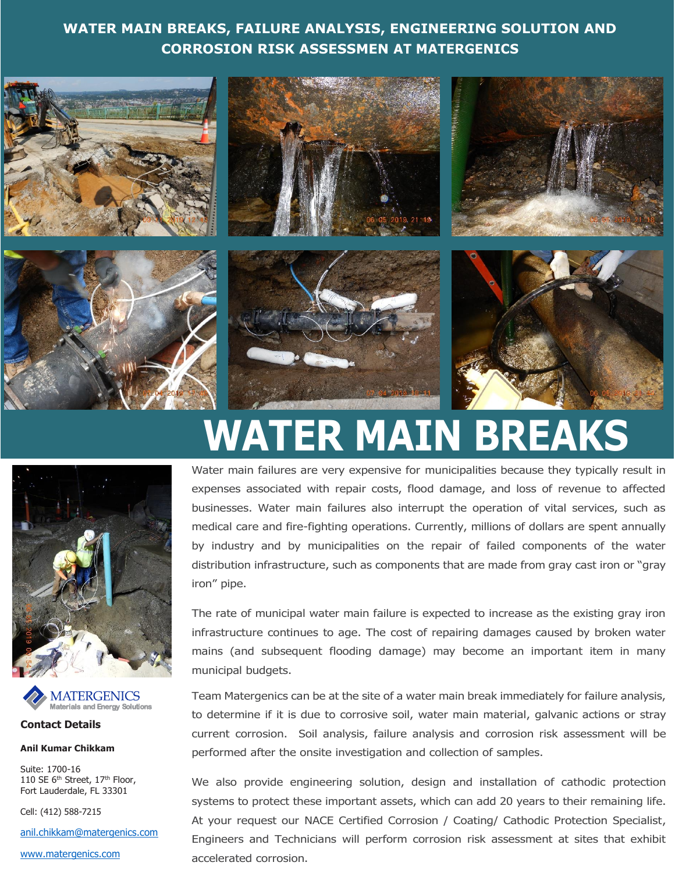## **WATER MAIN BREAKS, FAILURE ANALYSIS, ENGINEERING SOLUTION AND CORROSION RISK ASSESSMEN AT MATERGENICS**





**Contact Details**

**Anil Kumar Chikkam**

Suite: 1700-16 110 SE 6<sup>th</sup> Street, 17<sup>th</sup> Floor, Fort Lauderdale, FL 33301 Materials and Energy Solutions<br> **Contact Details<br>
Anil Kumar Chikkam**<br>
Suite: 1700-16<br>
110 SE 6<sup>th</sup> Street, 17<sup>th</sup> Floor,<br>
Fort Lauderdale, FL 33301<br>
Cell: (412) 588-7215<br>
<u>anil.chikkam@matergenics.com</u><br>
www.matergenics.co

Cell: (412) 588-7215

[anil.chikkam@matergenics.com](mailto:anil.chikkam@matergenics.com)

# **WATER MAIN BREAKS**

Water main failures are very expensive for municipalities because they typically result in expenses associated with repair costs, flood damage, and loss of revenue to affected businesses. Water main failures also interrupt the operation of vital services, such as medical care and fire-fighting operations. Currently, millions of dollars are spent annually by industry and by municipalities on the repair of failed components of the water distribution infrastructure, such as components that are made from gray cast iron or "gray iron" pipe.

The rate of municipal water main failure is expected to increase as the existing gray iron infrastructure continues to age. The cost of repairing damages caused by broken water mains (and subsequent flooding damage) may become an important item in many municipal budgets.

Team Matergenics can be at the site of a water main break immediately for failure analysis, to determine if it is due to corrosive soil, water main material, galvanic actions or stray current corrosion. Soil analysis, failure analysis and corrosion risk assessment will be performed after the onsite investigation and collection of samples.

We also provide engineering solution, design and installation of cathodic protection systems to protect these important assets, which can add 20 years to their remaining life. At your request our NACE Certified Corrosion / Coating/ Cathodic Protection Specialist, Engineers and Technicians will perform corrosion risk assessment at sites that exhibit accelerated corrosion.